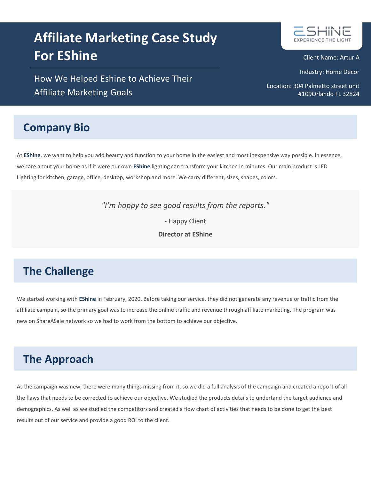# **Affiliate Marketing Case Study For EShine**

How We Helped Eshine to Achieve Their Affiliate Marketing Goals

## **Company Bio**

At **EShine**, we want to help you add beauty and function to your home in the easiest and most inexpensive way possible. In essence, we care about your home as if it were our own **EShine** lighting can transform your kitchen in minutes. Our main product is LED Lighting for kitchen, garage, office, desktop, workshop and more. We carry different, sizes, shapes, colors.

*"I'm happy to see good results from the reports."*

- Happy Client

**Director at EShine**

## **The Challenge**

We started working with **EShine** in February, 2020. Before taking our service, they did not generate any revenue or traffic from the affiliate campain, so the primary goal was to increase the online traffic and revenue through affiliate marketing. The program was new on ShareASale network so we had to work from the bottom to achieve our objective.

# **The Approach**

As the campaign was new, there were many things missing from it, so we did a full analysis of the campaign and created a report of all the flaws that needs to be corrected to achieve our objective. We studied the products details to undertand the target audience and demographics. As well as we studied the competitors and created a flow chart of activities that needs to be done to get the best results out of our service and provide a good ROI to the client.



Client Name: Artur A

Industry: Home Decor

Location: 304 Palmetto street unit #109Orlando FL 32824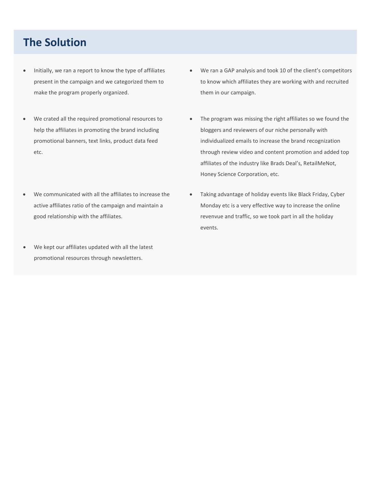#### **The Solution**

- Initially, we ran a report to know the type of affiliates present in the campaign and we categorized them to make the program properly organized.
- We crated all the required promotional resources to help the affiliates in promoting the brand including promotional banners, text links, product data feed etc.
- We communicated with all the affiliates to increase the active affiliates ratio of the campaign and maintain a good relationship with the affiliates.
- We kept our affiliates updated with all the latest promotional resources through newsletters.
- We ran a GAP analysis and took 10 of the client's competitors to know which affiliates they are working with and recruited them in our campaign.
- The program was missing the right affiliates so we found the bloggers and reviewers of our niche personally with individualized emails to increase the brand recognization through review video and content promotion and added top affiliates of the industry like Brads Deal's, RetailMeNot, Honey Science Corporation, etc.
- Taking advantage of holiday events like Black Friday, Cyber Monday etc is a very effective way to increase the online revenvue and traffic, so we took part in all the holiday events.